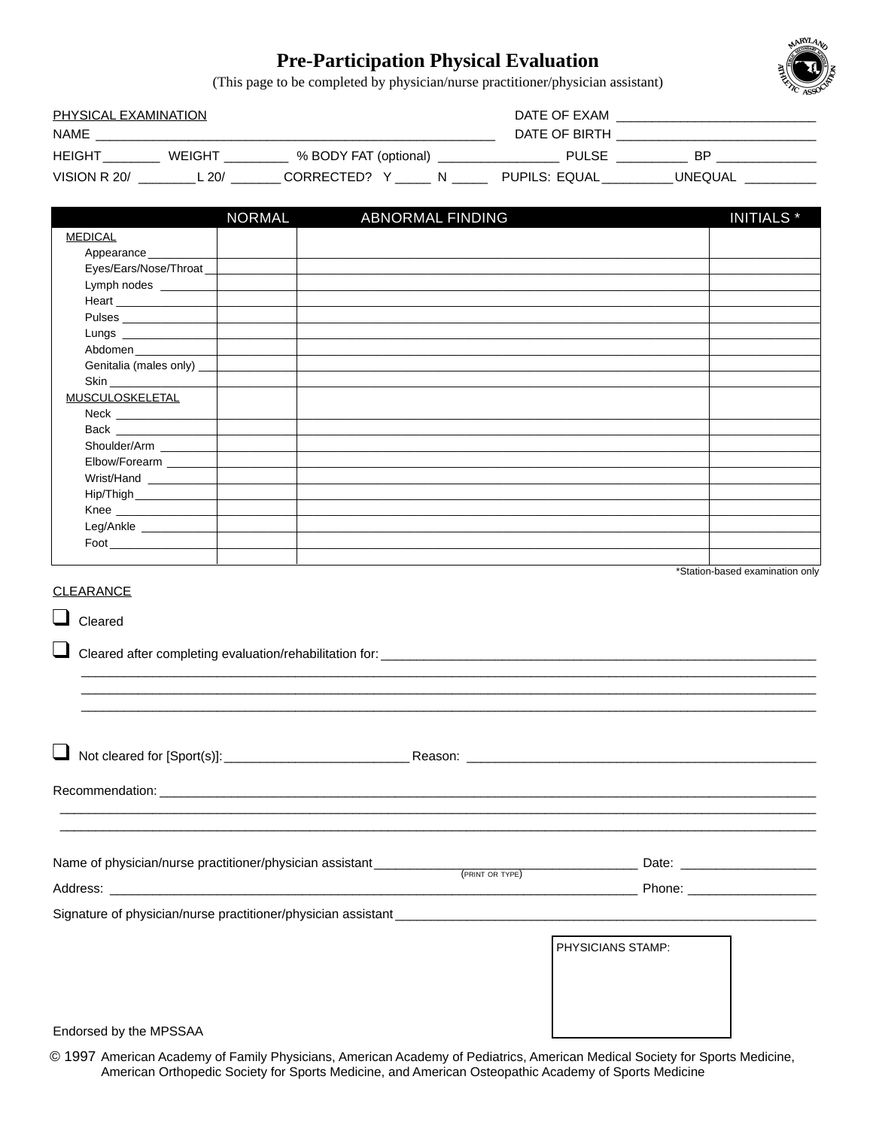## **Pre-Participation Physical Evaluation**



(This page to be completed by physician/nurse practitioner/physician assistant)

| PHYSICAL EXAMINATION |        |                       | DATE OF EXAM |               |         |
|----------------------|--------|-----------------------|--------------|---------------|---------|
| NAME                 |        |                       |              | DATE OF BIRTH |         |
| HEIGHT               | WEIGHT | % BODY FAT (optional) |              | <b>PULSE</b>  | ВP      |
| VISION R 20/         | ۔ 20⁄ا | CORRECTED?            |              | PUPILS: EQUAL | UNEQUAL |

|                                                                                                                                                                                                                                                      | <b>NORMAL</b> | ABNORMAL FINDING                                                                                                      |  |                   | <b>INITIALS</b> <sup>*</sup>    |
|------------------------------------------------------------------------------------------------------------------------------------------------------------------------------------------------------------------------------------------------------|---------------|-----------------------------------------------------------------------------------------------------------------------|--|-------------------|---------------------------------|
| <b>MEDICAL</b>                                                                                                                                                                                                                                       |               |                                                                                                                       |  |                   |                                 |
| Appearance                                                                                                                                                                                                                                           |               |                                                                                                                       |  |                   |                                 |
| Eyes/Ears/Nose/Throat_                                                                                                                                                                                                                               |               |                                                                                                                       |  |                   |                                 |
| Lymph nodes ________                                                                                                                                                                                                                                 |               |                                                                                                                       |  |                   |                                 |
|                                                                                                                                                                                                                                                      |               |                                                                                                                       |  |                   |                                 |
| Pulses                                                                                                                                                                                                                                               |               |                                                                                                                       |  |                   |                                 |
|                                                                                                                                                                                                                                                      |               |                                                                                                                       |  |                   |                                 |
| Abdomen                                                                                                                                                                                                                                              |               |                                                                                                                       |  |                   |                                 |
| Genitalia (males only) __                                                                                                                                                                                                                            |               |                                                                                                                       |  |                   |                                 |
| Skin                                                                                                                                                                                                                                                 |               |                                                                                                                       |  |                   |                                 |
| <b>MUSCULOSKELETAL</b>                                                                                                                                                                                                                               |               |                                                                                                                       |  |                   |                                 |
|                                                                                                                                                                                                                                                      |               |                                                                                                                       |  |                   |                                 |
|                                                                                                                                                                                                                                                      |               |                                                                                                                       |  |                   |                                 |
| Shoulder/Arm ________                                                                                                                                                                                                                                |               |                                                                                                                       |  |                   |                                 |
| Elbow/Forearm _______                                                                                                                                                                                                                                |               |                                                                                                                       |  |                   |                                 |
| Wrist/Hand                                                                                                                                                                                                                                           |               |                                                                                                                       |  |                   |                                 |
|                                                                                                                                                                                                                                                      |               |                                                                                                                       |  |                   |                                 |
| Knee                                                                                                                                                                                                                                                 |               | <u> 1989 - Johann Stoff, deutscher Stoff, der Stoff, der Stoff, der Stoff, der Stoff, der Stoff, der Stoff, der S</u> |  |                   |                                 |
| Leg/Ankle                                                                                                                                                                                                                                            |               |                                                                                                                       |  |                   |                                 |
| $\mathsf{Food}$                                                                                                                                                                                                                                      |               |                                                                                                                       |  |                   |                                 |
|                                                                                                                                                                                                                                                      |               |                                                                                                                       |  |                   | *Station-based examination only |
|                                                                                                                                                                                                                                                      |               |                                                                                                                       |  |                   |                                 |
| Recommendation: Law and Contract and Contract and Contract and Contract and Contract and Contract and Contract and Contract and Contract and Contract and Contract and Contract and Contract and Contract and Contract and Con                       |               |                                                                                                                       |  |                   |                                 |
|                                                                                                                                                                                                                                                      |               |                                                                                                                       |  |                   |                                 |
| $\begin{array}{c}\n\hline\n\text{(PRINT OR TYPE)}\n\end{array}\n\qquad\n\begin{array}{c}\n\hline\n\text{Date:}\n\end{array}\n\qquad\n\begin{array}{c}\n\hline\n\end{array}$<br>Name of physician/nurse practitioner/physician assistant ____________ |               |                                                                                                                       |  |                   |                                 |
|                                                                                                                                                                                                                                                      |               |                                                                                                                       |  |                   |                                 |
|                                                                                                                                                                                                                                                      |               |                                                                                                                       |  | PHYSICIANS STAMP: |                                 |
|                                                                                                                                                                                                                                                      |               |                                                                                                                       |  |                   |                                 |
| Endorsed by the MPSSAA                                                                                                                                                                                                                               |               |                                                                                                                       |  |                   |                                 |

© 1997 American Academy of Family Physicians, American Academy of Pediatrics, American Medical Society for Sports Medicine, American Orthopedic Society for Sports Medicine, and American Osteopathic Academy of Sports Medicine